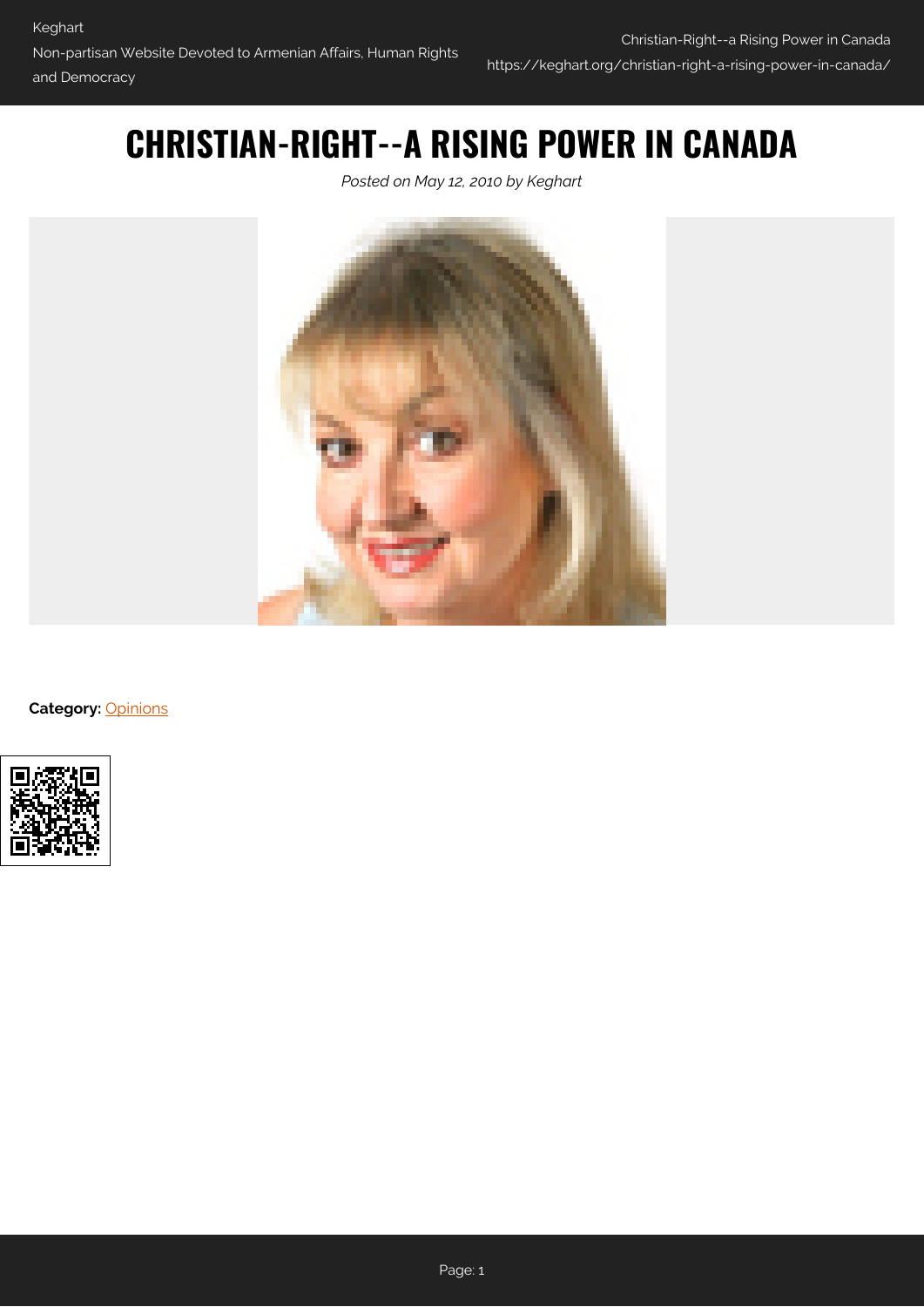## **CHRISTIAN-RIGHT--A RISING POWER IN CANADA**

*Posted on May 12, 2010 by Keghart*



**Category: [Opinions](https://keghart.org/category/opinions/)** 

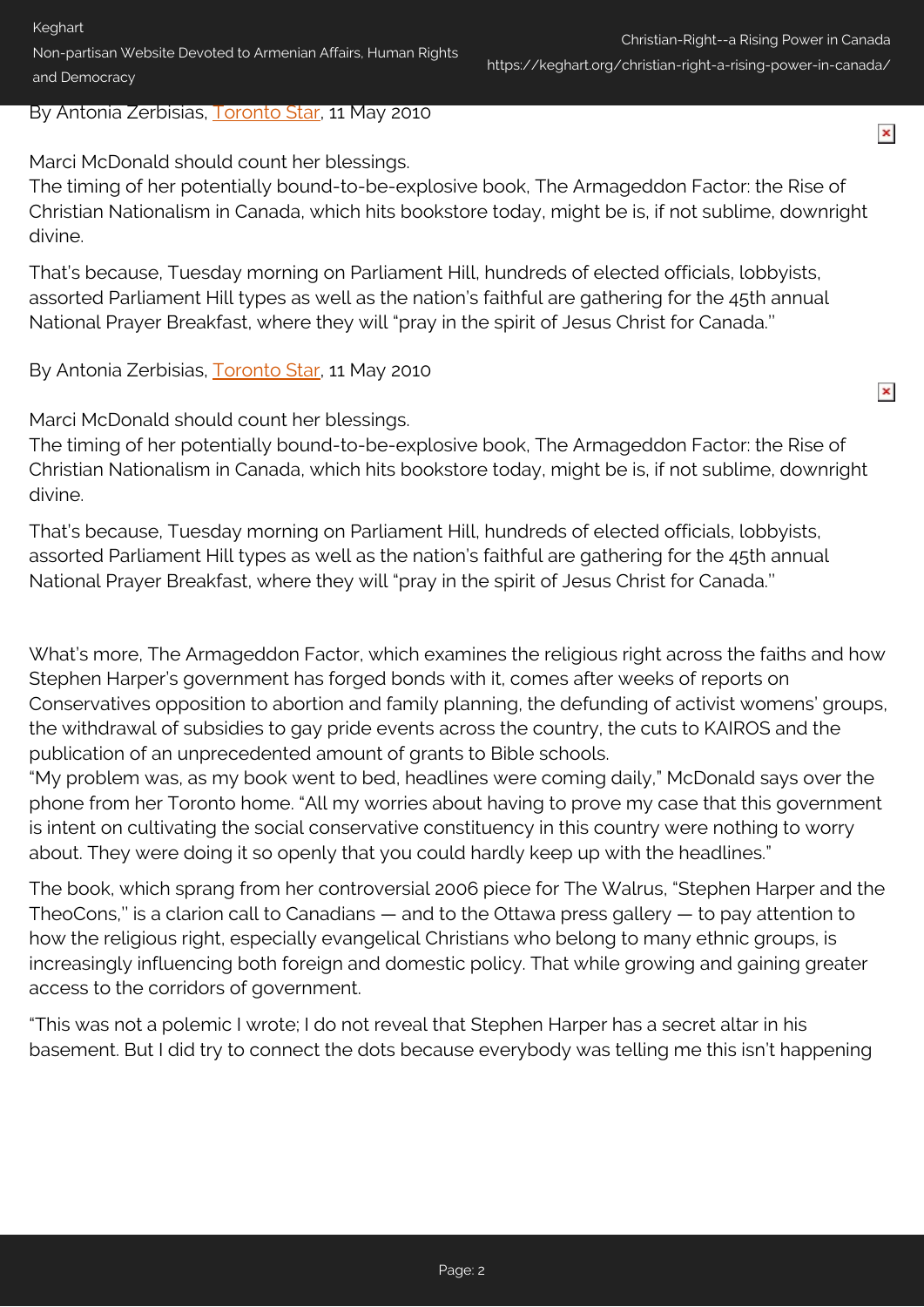By Antonia Zerbisias, [Toronto Star](http://www.thestar.com/news/canada/article/807640--timing-of-book-s-release-downright-divine), 11 May 2010

Marci McDonald should count her blessings.

The timing of her potentially bound-to-be-explosive book, The Armageddon Factor: the Rise of Christian Nationalism in Canada, which hits bookstore today, might be is, if not sublime, downright divine.

That's because, Tuesday morning on Parliament Hill, hundreds of elected officials, lobbyists, assorted Parliament Hill types as well as the nation's faithful are gathering for the 45th annual National Prayer Breakfast, where they will "pray in the spirit of Jesus Christ for Canada.''

By Antonia Zerbisias, [Toronto Star](http://www.thestar.com/news/canada/article/807640--timing-of-book-s-release-downright-divine), 11 May 2010

Marci McDonald should count her blessings.

The timing of her potentially bound-to-be-explosive book, The Armageddon Factor: the Rise of Christian Nationalism in Canada, which hits bookstore today, might be is, if not sublime, downright divine.

That's because, Tuesday morning on Parliament Hill, hundreds of elected officials, lobbyists, assorted Parliament Hill types as well as the nation's faithful are gathering for the 45th annual National Prayer Breakfast, where they will "pray in the spirit of Jesus Christ for Canada.''

What's more, The Armageddon Factor, which examines the religious right across the faiths and how Stephen Harper's government has forged bonds with it, comes after weeks of reports on Conservatives opposition to abortion and family planning, the defunding of activist womens' groups, the withdrawal of subsidies to gay pride events across the country, the cuts to KAIROS and the publication of an unprecedented amount of grants to Bible schools.

"My problem was, as my book went to bed, headlines were coming daily," McDonald says over the phone from her Toronto home. "All my worries about having to prove my case that this government is intent on cultivating the social conservative constituency in this country were nothing to worry about. They were doing it so openly that you could hardly keep up with the headlines."

The book, which sprang from her controversial 2006 piece for The Walrus, "Stephen Harper and the TheoCons," is a clarion call to Canadians  $-$  and to the Ottawa press gallery  $-$  to pay attention to how the religious right, especially evangelical Christians who belong to many ethnic groups, is increasingly influencing both foreign and domestic policy. That while growing and gaining greater access to the corridors of government.

"This was not a polemic I wrote; I do not reveal that Stephen Harper has a secret altar in his basement. But I did try to connect the dots because everybody was telling me this isn't happening

 $\pmb{\times}$ 

 $\pmb{\times}$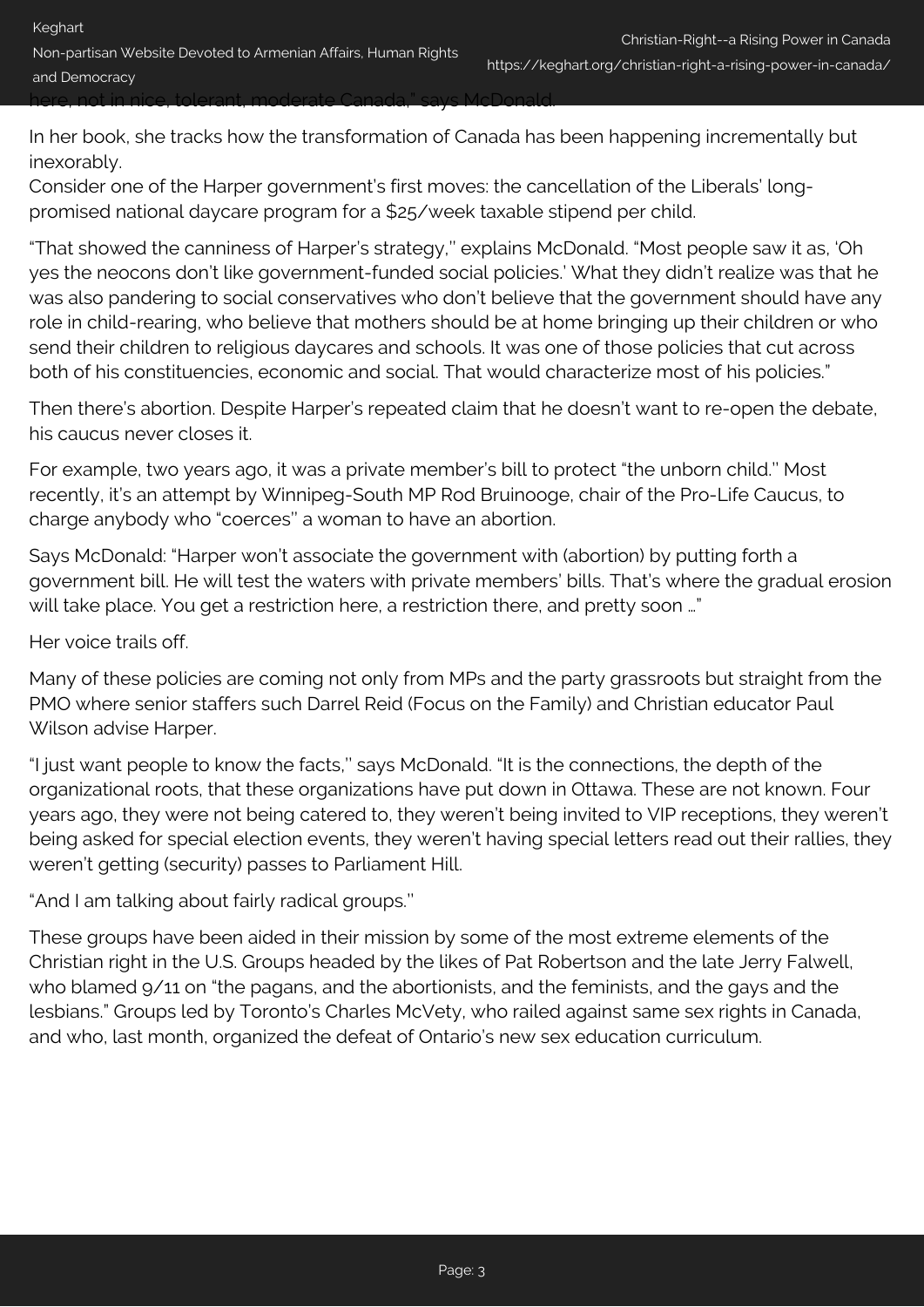In her book, she tracks how the transformation of Canada has been happening incrementally but

inexorably. Consider one of the Harper government's first moves: the cancellation of the Liberals' long-

promised national daycare program for a \$25/week taxable stipend per child.

"That showed the canniness of Harper's strategy,'' explains McDonald. "Most people saw it as, 'Oh yes the neocons don't like government-funded social policies.' What they didn't realize was that he was also pandering to social conservatives who don't believe that the government should have any role in child-rearing, who believe that mothers should be at home bringing up their children or who send their children to religious daycares and schools. It was one of those policies that cut across both of his constituencies, economic and social. That would characterize most of his policies."

Then there's abortion. Despite Harper's repeated claim that he doesn't want to re-open the debate, his caucus never closes it.

For example, two years ago, it was a private member's bill to protect "the unborn child.'' Most recently, it's an attempt by Winnipeg-South MP Rod Bruinooge, chair of the Pro-Life Caucus, to charge anybody who "coerces'' a woman to have an abortion.

Says McDonald: "Harper won't associate the government with (abortion) by putting forth a government bill. He will test the waters with private members' bills. That's where the gradual erosion will take place. You get a restriction here, a restriction there, and pretty soon ..."

Her voice trails off.

Many of these policies are coming not only from MPs and the party grassroots but straight from the PMO where senior staffers such Darrel Reid (Focus on the Family) and Christian educator Paul Wilson advise Harper.

"I just want people to know the facts,'' says McDonald. "It is the connections, the depth of the organizational roots, that these organizations have put down in Ottawa. These are not known. Four years ago, they were not being catered to, they weren't being invited to VIP receptions, they weren't being asked for special election events, they weren't having special letters read out their rallies, they weren't getting (security) passes to Parliament Hill.

"And I am talking about fairly radical groups.''

These groups have been aided in their mission by some of the most extreme elements of the Christian right in the U.S. Groups headed by the likes of Pat Robertson and the late Jerry Falwell, who blamed 9/11 on "the pagans, and the abortionists, and the feminists, and the gays and the lesbians." Groups led by Toronto's Charles McVety, who railed against same sex rights in Canada, and who, last month, organized the defeat of Ontario's new sex education curriculum.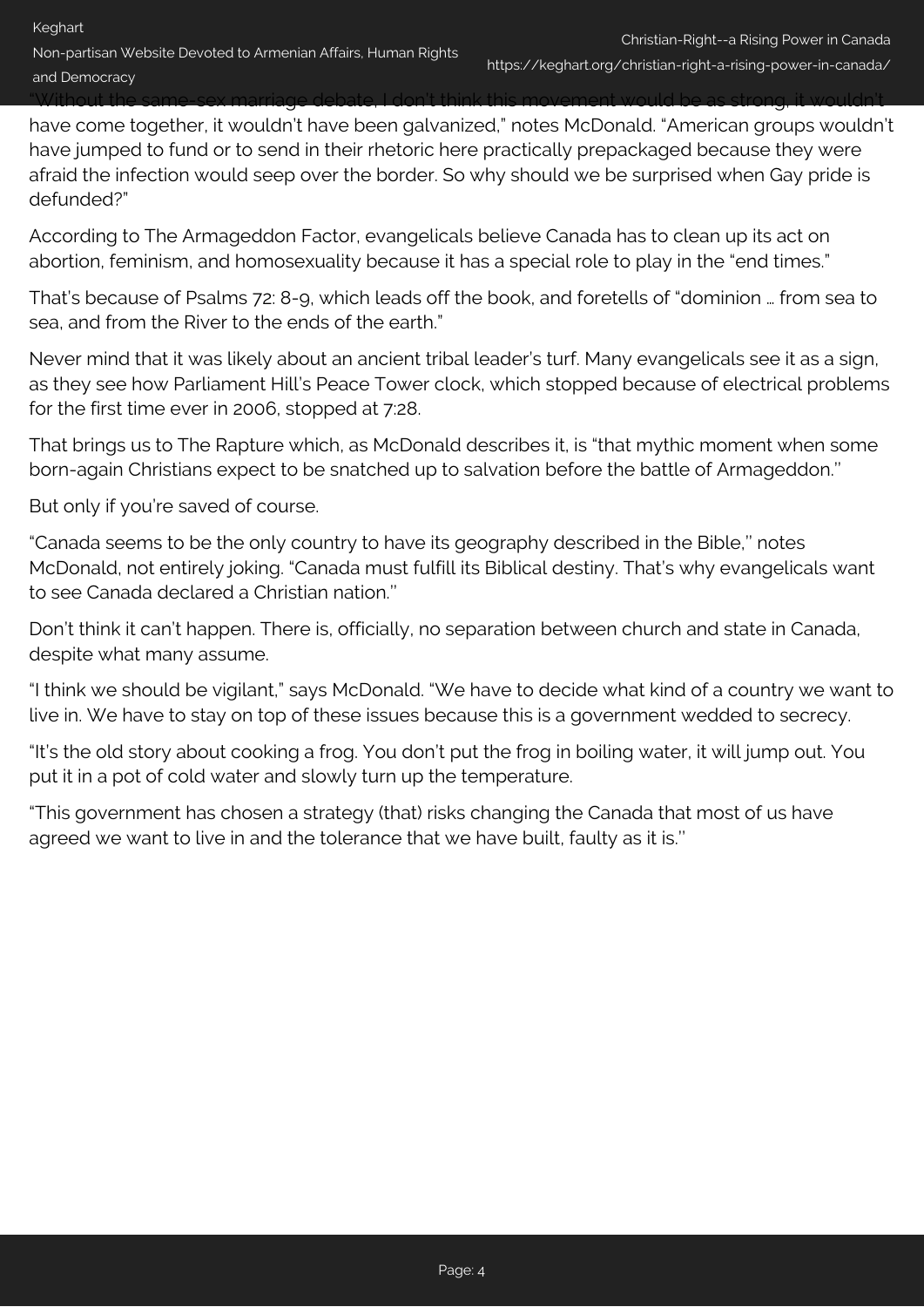"Without the same-sex marriage debate, I don't think this movement would be as strong, it wouldn't

have come together, it wouldn't have been galvanized," notes McDonald. "American groups wouldn't have jumped to fund or to send in their rhetoric here practically prepackaged because they were afraid the infection would seep over the border. So why should we be surprised when Gay pride is defunded?"

According to The Armageddon Factor, evangelicals believe Canada has to clean up its act on abortion, feminism, and homosexuality because it has a special role to play in the "end times."

That's because of Psalms 72: 8-9, which leads off the book, and foretells of "dominion … from sea to sea, and from the River to the ends of the earth."

Never mind that it was likely about an ancient tribal leader's turf. Many evangelicals see it as a sign, as they see how Parliament Hill's Peace Tower clock, which stopped because of electrical problems for the first time ever in 2006, stopped at 7:28.

That brings us to The Rapture which, as McDonald describes it, is "that mythic moment when some born-again Christians expect to be snatched up to salvation before the battle of Armageddon.''

But only if you're saved of course.

"Canada seems to be the only country to have its geography described in the Bible,'' notes McDonald, not entirely joking. "Canada must fulfill its Biblical destiny. That's why evangelicals want to see Canada declared a Christian nation.''

Don't think it can't happen. There is, officially, no separation between church and state in Canada, despite what many assume.

"I think we should be vigilant," says McDonald. "We have to decide what kind of a country we want to live in. We have to stay on top of these issues because this is a government wedded to secrecy.

"It's the old story about cooking a frog. You don't put the frog in boiling water, it will jump out. You put it in a pot of cold water and slowly turn up the temperature.

"This government has chosen a strategy (that) risks changing the Canada that most of us have agreed we want to live in and the tolerance that we have built, faulty as it is.''